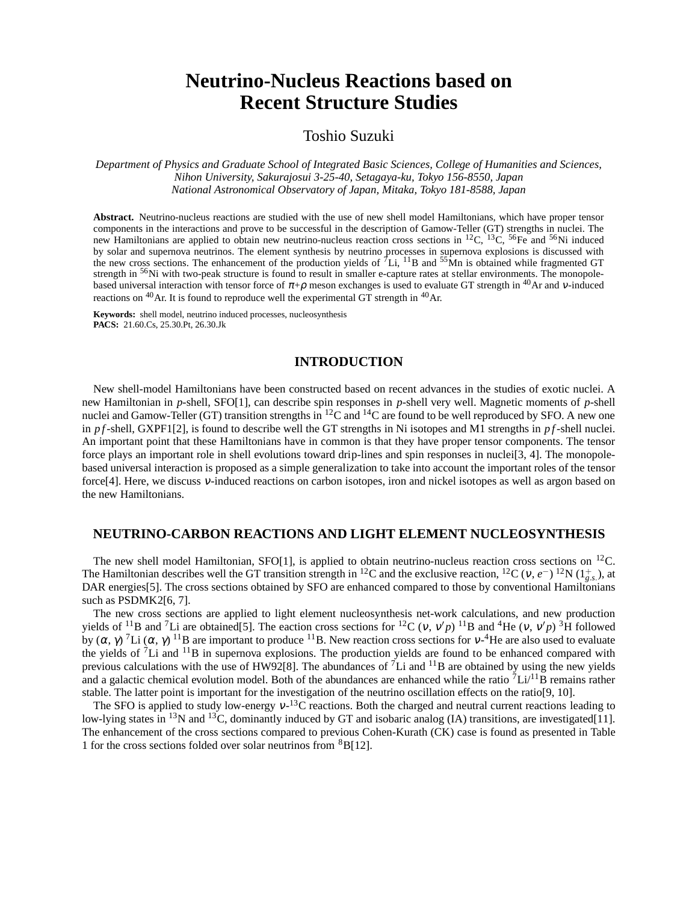# **Neutrino-Nucleus Reactions based on Recent Structure Studies**

# Toshio Suzuki

*Department of Physics and Graduate School of Integrated Basic Sciences, College of Humanities and Sciences, Nihon University, Sakurajosui 3-25-40, Setagaya-ku, Tokyo 156-8550, Japan National Astronomical Observatory of Japan, Mitaka, Tokyo 181-8588, Japan*

**Abstract.** Neutrino-nucleus reactions are studied with the use of new shell model Hamiltonians, which have proper tensor components in the interactions and prove to be successful in the description of Gamow-Teller (GT) strengths in nuclei. The new Hamiltonians are applied to obtain new neutrino-nucleus reaction cross sections in <sup>12</sup>C, <sup>13</sup>C, <sup>56</sup>Fe and <sup>56</sup>Ni induced by solar and supernova neutrinos. The element synthesis by neutrino processes in supernova explosions is discussed with the new cross sections. The enhancement of the production yields of  $^7$ Li, <sup>11</sup>B and <sup>55</sup>Mn is obtained while fragmented GT strength in <sup>56</sup>Ni with two-peak structure is found to result in smaller e-capture rates at stellar environments. The monopolebased universal interaction with tensor force of  $\pi+p$  meson exchanges is used to evaluate GT strength in <sup>40</sup>Ar and v-induced reactions on <sup>40</sup>Ar. It is found to reproduce well the experimental GT strength in <sup>40</sup>Ar.

**Keywords:** shell model, neutrino induced processes, nucleosynthesis **PACS:** 21.60.Cs, 25.30.Pt, 26.30.Jk

#### **INTRODUCTION**

New shell-model Hamiltonians have been constructed based on recent advances in the studies of exotic nuclei. A new Hamiltonian in *p*-shell, SFO[1], can describe spin responses in *p*-shell very well. Magnetic moments of *p*-shell nuclei and Gamow-Teller (GT) transition strengths in <sup>12</sup>C and <sup>14</sup>C are found to be well reproduced by SFO. A new one in  $pf$ -shell, GXPF1[2], is found to describe well the GT strengths in Ni isotopes and M1 strengths in  $pf$ -shell nuclei. An important point that these Hamiltonians have in common is that they have proper tensor components. The tensor force plays an important role in shell evolutions toward drip-lines and spin responses in nuclei[3, 4]. The monopolebased universal interaction is proposed as a simple generalization to take into account the important roles of the tensor force[4]. Here, we discuss <sup>ν</sup>-induced reactions on carbon isotopes, iron and nickel isotopes as well as argon based on the new Hamiltonians.

# **NEUTRINO-CARBON REACTIONS AND LIGHT ELEMENT NUCLEOSYNTHESIS**

The new shell model Hamiltonian,  $SFO[1]$ , is applied to obtain neutrino-nucleus reaction cross sections on <sup>12</sup>C. The Hamiltonian describes well the GT transition strength in <sup>12</sup>C and the exclusive reaction, <sup>12</sup>C ( $v, e^{-}$ ) <sup>12</sup>N ( $1_{g.s.}^{+}$ ), at DAR energies[5]. The cross sections obtained by SFO are enhanced compared to those by conventional Hamiltonians such as PSDMK2[6, 7].

The new cross sections are applied to light element nucleosynthesis net-work calculations, and new production yields of <sup>11</sup>B and <sup>7</sup>Li are obtained[5]. The eaction cross sections for <sup>12</sup>C (*v*, *v'p*)<sup>11</sup>B and <sup>4</sup>He (*v*, *v'p*)<sup>3</sup>H followed by  $(\alpha, \gamma)$ <sup>7</sup>Li  $(\alpha, \gamma)$ <sup>11</sup>B are important to produce <sup>11</sup>B. New reaction cross sections for v-<sup>4</sup>He are also used to evaluate the yields of  ${}^{7}Li$  and  ${}^{11}B$  in supernova explosions. The production yields are found to be enhanced compared with previous calculations with the use of HW92[8]. The abundances of  $^7$ Li and  $^{11}$ B are obtained by using the new yields and a galactic chemical evolution model. Both of the abundances are enhanced while the ratio  ${}^{7}Li/{}^{11}B$  remains rather stable. The latter point is important for the investigation of the neutrino oscillation effects on the ratio[9, 10].

The SFO is applied to study low-energy  $v^{-13}$ C reactions. Both the charged and neutral current reactions leading to low-lying states in <sup>13</sup>N and <sup>13</sup>C, dominantly induced by GT and isobaric analog (IA) transitions, are investigated[11]. The enhancement of the cross sections compared to previous Cohen-Kurath (CK) case is found as presented in Table 1 for the cross sections folded over solar neutrinos from <sup>8</sup>B[12].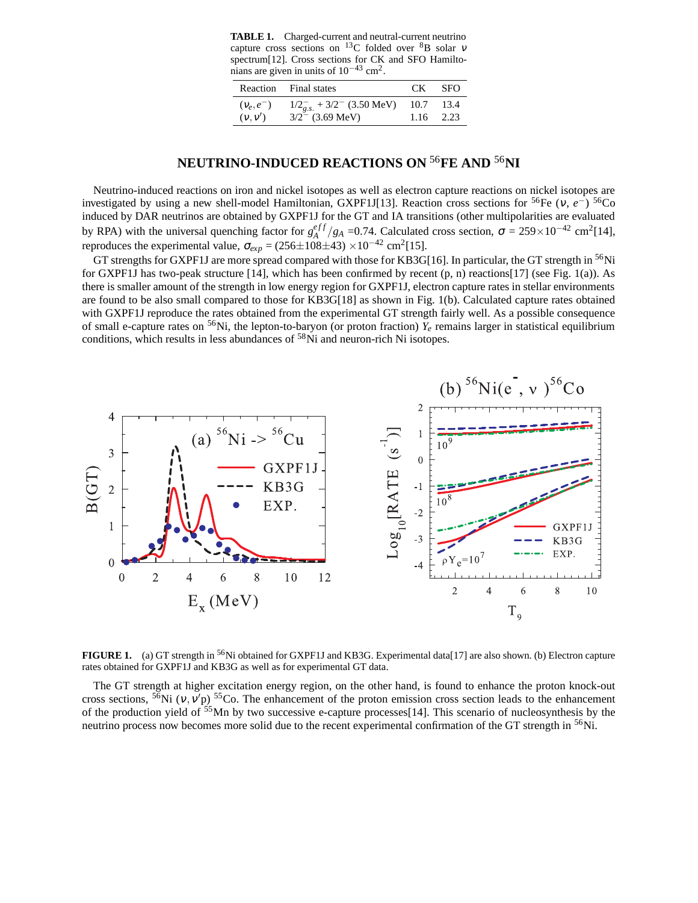**TABLE 1.** Charged-current and neutral-current neutrino capture cross sections on <sup>13</sup>C folded over <sup>8</sup>B solar  $v$ spectrum[12]. Cross sections for CK and SFO Hamiltonians are given in units of  $10^{-43}$  cm<sup>2</sup>.

|              | Reaction Final states                       |           | CK SFO      |
|--------------|---------------------------------------------|-----------|-------------|
| $(V_e, e^-)$ | $1/2_{g,s}^-$ + 3/2 <sup>-</sup> (3.50 MeV) | 10.7 13.4 |             |
| (v, v')      | $3/2^-$ (3.69 MeV)                          |           | $1.16$ 2.23 |

# **NEUTRINO-INDUCED REACTIONS ON** <sup>56</sup>**FE AND** <sup>56</sup>**NI**

Neutrino-induced reactions on iron and nickel isotopes as well as electron capture reactions on nickel isotopes are investigated by using a new shell-model Hamiltonian, GXPF1J[13]. Reaction cross sections for <sup>56</sup>Fe (v,  $e^{-}$ ) <sup>56</sup>Co induced by DAR neutrinos are obtained by GXPF1J for the GT and IA transitions (other multipolarities are evaluated by RPA) with the universal quenching factor for  $g_A^{eff}$  $\frac{eff}{A}/g_A$  =0.74. Calculated cross section,  $\sigma = 259 \times 10^{-42}$  cm<sup>2</sup>[14], reproduces the experimental value,  $\sigma_{exp} = (256 \pm 108 \pm 43) \times 10^{-42}$  cm<sup>2</sup>[15].

GT strengths for GXPF1J are more spread compared with those for KB3G[16]. In particular, the GT strength in <sup>56</sup>Ni for GXPF1J has two-peak structure [14], which has been confirmed by recent (p, n) reactions[17] (see Fig. 1(a)). As there is smaller amount of the strength in low energy region for GXPF1J, electron capture rates in stellar environments are found to be also small compared to those for KB3G[18] as shown in Fig. 1(b). Calculated capture rates obtained with GXPF1J reproduce the rates obtained from the experimental GT strength fairly well. As a possible consequence of small e-capture rates on <sup>56</sup>Ni, the lepton-to-baryon (or proton fraction)  $Y_e$  remains larger in statistical equilibrium conditions, which results in less abundances of <sup>58</sup>Ni and neuron-rich Ni isotopes.



**FIGURE 1.** (a) GT strength in <sup>56</sup>Ni obtained for GXPF1J and KB3G. Experimental data[17] are also shown. (b) Electron capture rates obtained for GXPF1J and KB3G as well as for experimental GT data.

The GT strength at higher excitation energy region, on the other hand, is found to enhance the proton knock-out cross sections,  $56$ Ni (v, v'p)  $55$ Co. The enhancement of the proton emission cross section leads to the enhancement of the production yield of <sup>55</sup>Mn by two successive e-capture processes[14]. This scenario of nucleosynthesis by the neutrino process now becomes more solid due to the recent experimental confirmation of the GT strength in <sup>56</sup>Ni.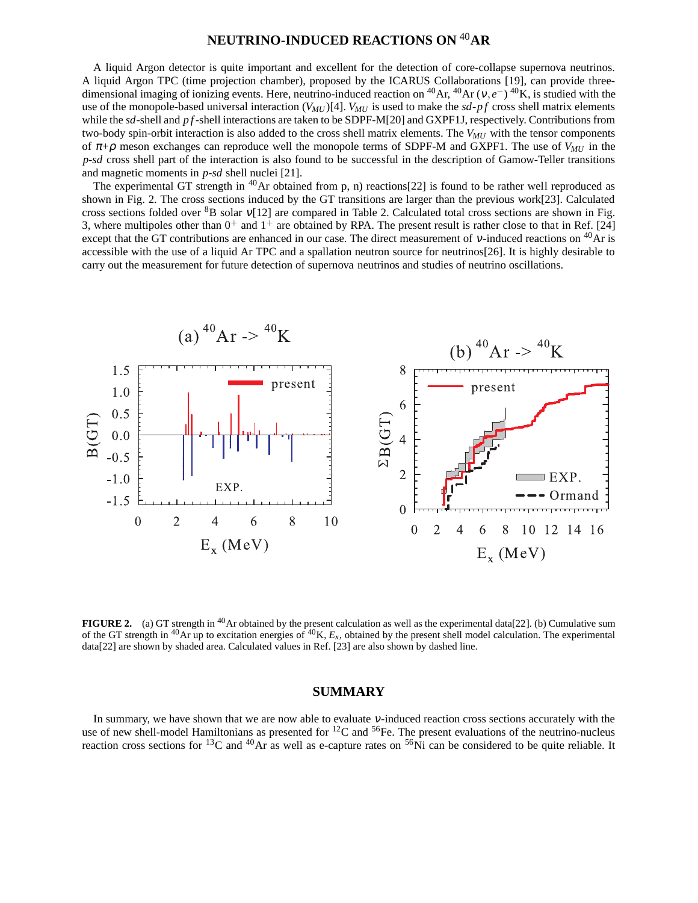# **NEUTRINO-INDUCED REACTIONS ON** <sup>40</sup>**AR**

A liquid Argon detector is quite important and excellent for the detection of core-collapse supernova neutrinos. A liquid Argon TPC (time projection chamber), proposed by the ICARUS Collaborations [19], can provide threedimensional imaging of ionizing events. Here, neutrino-induced reaction on <sup>40</sup>Ar, <sup>40</sup>Ar ( $v, e^{-}$ ) <sup>40</sup>K, is studied with the use of the monopole-based universal interaction  $(V_{MU})$ [4].  $V_{MU}$  is used to make the  $sd$ - $pf$  cross shell matrix elements while the *sd*-shell and *p f*-shell interactions are taken to be SDPF-M[20] and GXPF1J, respectively. Contributions from two-body spin-orbit interaction is also added to the cross shell matrix elements. The *VMU* with the tensor components of <sup>π</sup>+<sup>ρ</sup> meson exchanges can reproduce well the monopole terms of SDPF-M and GXPF1. The use of *VMU* in the *p*-*sd* cross shell part of the interaction is also found to be successful in the description of Gamow-Teller transitions and magnetic moments in *p*-*sd* shell nuclei [21].

The experimental GT strength in <sup>40</sup>Ar obtained from p, n) reactions [22] is found to be rather well reproduced as shown in Fig. 2. The cross sections induced by the GT transitions are larger than the previous work[23]. Calculated cross sections folded over  ${}^{8}B$  solar  $v[12]$  are compared in Table 2. Calculated total cross sections are shown in Fig. 3, where multipoles other than  $0^+$  and  $1^+$  are obtained by RPA. The present result is rather close to that in Ref. [24] except that the GT contributions are enhanced in our case. The direct measurement of  $v$ -induced reactions on  ${}^{40}Ar$  is accessible with the use of a liquid Ar TPC and a spallation neutron source for neutrinos[26]. It is highly desirable to carry out the measurement for future detection of supernova neutrinos and studies of neutrino oscillations.



**FIGURE 2.** (a) GT strength in <sup>40</sup>Ar obtained by the present calculation as well as the experimental data[22]. (b) Cumulative sum of the GT strength in  $^{40}$ Ar up to excitation energies of  $^{40}$ K,  $E_x$ , obtained by the present shell model calculation. The experimental data[22] are shown by shaded area. Calculated values in Ref. [23] are also shown by dashed line.

### **SUMMARY**

In summary, we have shown that we are now able to evaluate <sup>ν</sup>-induced reaction cross sections accurately with the use of new shell-model Hamiltonians as presented for  ${}^{12}C$  and  ${}^{56}Fe$ . The present evaluations of the neutrino-nucleus reaction cross sections for <sup>13</sup>C and <sup>40</sup>Ar as well as e-capture rates on <sup>56</sup>Ni can be considered to be quite reliable. It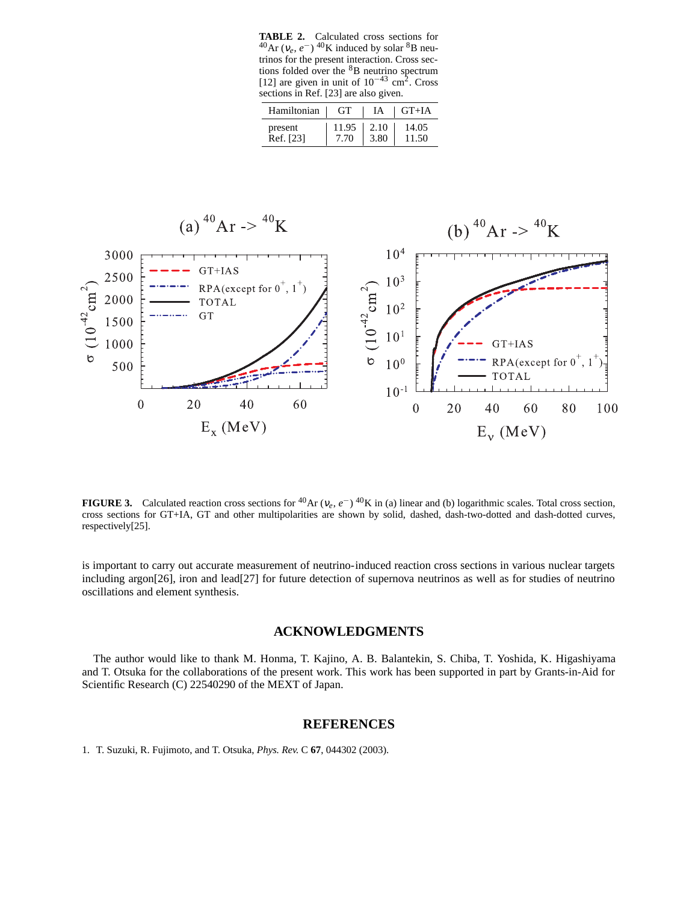**TABLE 2.** Calculated cross sections for  $^{40}$ Ar ( $v_e$ ,  $e^-$ )<sup>40</sup>K induced by solar <sup>8</sup>B neutrinos for the present interaction. Cross sections folded over the  ${}^{8}B$  neutrino spectrum [12] are given in unit of  $10^{-43}$  cm<sup>2</sup>. Cross sections in Ref. [23] are also given.

| Hamiltonian | GT.   | IA   | $\overline{\phantom{a}}$ GT+IA |
|-------------|-------|------|--------------------------------|
| present     | 11.95 | 2.10 | 14.05                          |
| Ref. [23]   | 7.70  | 3.80 | 11.50                          |



**FIGURE 3.** Calculated reaction cross sections for <sup>40</sup>Ar ( $v_e$ ,  $e^{-}$ ) <sup>40</sup>K in (a) linear and (b) logarithmic scales. Total cross section, cross sections for GT+IA, GT and other multipolarities are shown by solid, dashed, dash-two-dotted and dash-dotted curves, respectively[25].

is important to carry out accurate measurement of neutrino-induced reaction cross sections in various nuclear targets including argon[26], iron and lead[27] for future detection of supernova neutrinos as well as for studies of neutrino oscillations and element synthesis.

### **ACKNOWLEDGMENTS**

The author would like to thank M. Honma, T. Kajino, A. B. Balantekin, S. Chiba, T. Yoshida, K. Higashiyama and T. Otsuka for the collaborations of the present work. This work has been supported in part by Grants-in-Aid for Scientific Research (C) 22540290 of the MEXT of Japan.

### **REFERENCES**

1. T. Suzuki, R. Fujimoto, and T. Otsuka, *Phys. Rev.* C **67**, 044302 (2003).